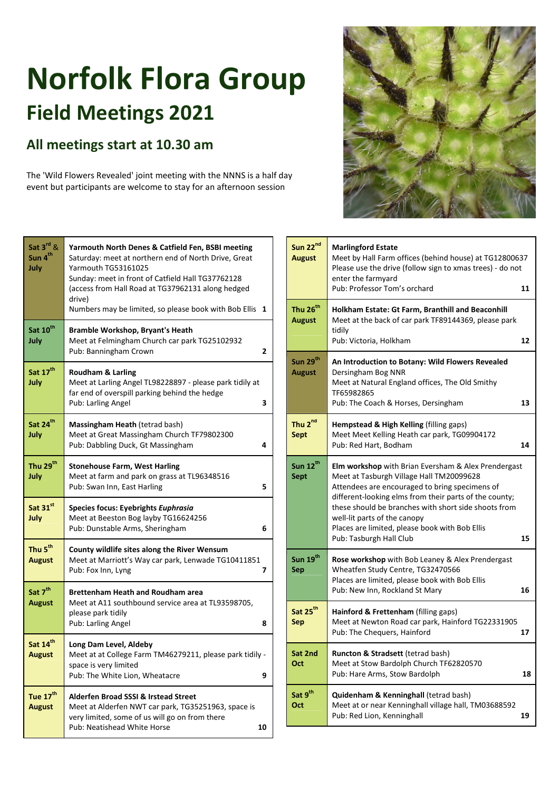## **Norfolk Flora Group Field Meetings 2021**

## **All meetings start at 10.30 am**

The 'Wild Flowers Revealed' joint meeting with the NNNS is a half day event but participants are welcome to stay for an afternoon session



Pub: Neatishead White Horse **10**



| Sun 22 <sup>nd</sup><br><b>August</b> | <b>Marlingford Estate</b><br>Meet by Hall Farm offices (behind house) at TG12800637<br>Please use the drive (follow sign to xmas trees) - do not<br>enter the farmyard                                                                                                                                                                                                                  |    |
|---------------------------------------|-----------------------------------------------------------------------------------------------------------------------------------------------------------------------------------------------------------------------------------------------------------------------------------------------------------------------------------------------------------------------------------------|----|
| Thu 26 <sup>th</sup><br><b>August</b> | Pub: Professor Tom's orchard<br>11<br>Holkham Estate: Gt Farm, Branthill and Beaconhill<br>Meet at the back of car park TF89144369, please park                                                                                                                                                                                                                                         |    |
|                                       | tidily<br>Pub: Victoria, Holkham                                                                                                                                                                                                                                                                                                                                                        | 12 |
| Sun 29 <sup>th</sup><br><b>August</b> | An Introduction to Botany: Wild Flowers Revealed<br>Dersingham Bog NNR<br>Meet at Natural England offices, The Old Smithy<br>TF65982865                                                                                                                                                                                                                                                 |    |
|                                       | Pub: The Coach & Horses, Dersingham                                                                                                                                                                                                                                                                                                                                                     | 13 |
| Thu 2 <sup>nd</sup><br>Sept           | <b>Hempstead &amp; High Kelling (filling gaps)</b><br>Meet Meet Kelling Heath car park, TG09904172<br>Pub: Red Hart, Bodham                                                                                                                                                                                                                                                             | 14 |
| Sun 12 <sup>th</sup><br><b>Sept</b>   | <b>Elm workshop</b> with Brian Eversham & Alex Prendergast<br>Meet at Tasburgh Village Hall TM20099628<br>Attendees are encouraged to bring specimens of<br>different-looking elms from their parts of the county;<br>these should be branches with short side shoots from<br>well-lit parts of the canopy<br>Places are limited, please book with Bob Ellis<br>Pub: Tasburgh Hall Club | 15 |
| Sun 19 <sup>th</sup><br><b>Sep</b>    | <b>Rose workshop</b> with Bob Leaney & Alex Prendergast<br>Wheatfen Study Centre, TG32470566<br>Places are limited, please book with Bob Ellis<br>Pub: New Inn, Rockland St Mary                                                                                                                                                                                                        | 16 |
| Sat 25 <sup>th</sup><br><b>Sep</b>    | <b>Hainford &amp; Frettenham</b> (filling gaps)<br>Meet at Newton Road car park, Hainford TG22331905<br>Pub: The Chequers, Hainford                                                                                                                                                                                                                                                     | 17 |
| Sat 2nd<br>Oct                        | <b>Runcton &amp; Stradsett (tetrad bash)</b><br>Meet at Stow Bardolph Church TF62820570<br>Pub: Hare Arms, Stow Bardolph                                                                                                                                                                                                                                                                | 18 |
| Sat 9 <sup>th</sup><br>Oct            | <b>Quidenham &amp; Kenninghall (tetrad bash)</b><br>Meet at or near Kenninghall village hall, TM03688592<br>Pub: Red Lion, Kenninghall                                                                                                                                                                                                                                                  | 19 |